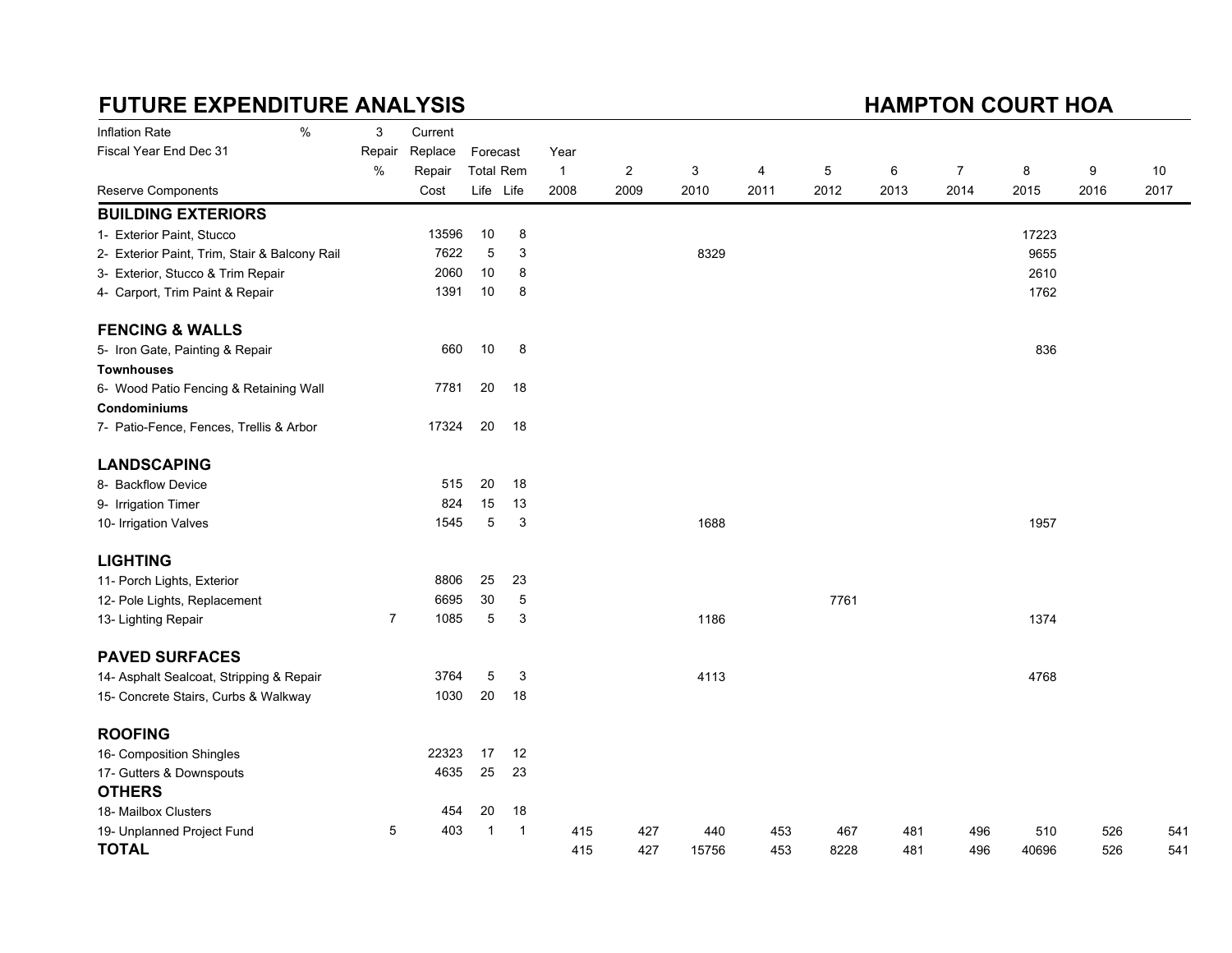# FUTURE EXPENDITURE ANALYSIS

### HAMPTON COURT HOA

| Inflation Rate                                | $\%$ | 3              | Current |                  |              |                |                |       |      |      |      |                |       |      |      |
|-----------------------------------------------|------|----------------|---------|------------------|--------------|----------------|----------------|-------|------|------|------|----------------|-------|------|------|
| Fiscal Year End Dec 31                        |      | Repair         | Replace | Forecast         |              | Year           |                |       |      |      |      |                |       |      |      |
|                                               |      | $\%$           | Repair  | <b>Total Rem</b> |              | $\overline{1}$ | $\overline{c}$ | 3     | 4    | 5    | 6    | $\overline{7}$ | 8     | 9    | 10   |
| Reserve Components                            |      |                | Cost    | Life Life        |              | 2008           | 2009           | 2010  | 2011 | 2012 | 2013 | 2014           | 2015  | 2016 | 2017 |
| <b>BUILDING EXTERIORS</b>                     |      |                |         |                  |              |                |                |       |      |      |      |                |       |      |      |
| 1- Exterior Paint, Stucco                     |      |                | 13596   | 10               | 8            |                |                |       |      |      |      |                | 17223 |      |      |
| 2- Exterior Paint, Trim, Stair & Balcony Rail |      |                | 7622    | 5                | 3            |                |                | 8329  |      |      |      |                | 9655  |      |      |
| 3- Exterior, Stucco & Trim Repair             |      |                | 2060    | 10               | 8            |                |                |       |      |      |      |                | 2610  |      |      |
| 4- Carport, Trim Paint & Repair               |      |                | 1391    | 10               | 8            |                |                |       |      |      |      |                | 1762  |      |      |
| <b>FENCING &amp; WALLS</b>                    |      |                |         |                  |              |                |                |       |      |      |      |                |       |      |      |
| 5- Iron Gate, Painting & Repair               |      |                | 660     | 10               | 8            |                |                |       |      |      |      |                | 836   |      |      |
| <b>Townhouses</b>                             |      |                |         |                  |              |                |                |       |      |      |      |                |       |      |      |
| 6- Wood Patio Fencing & Retaining Wall        |      |                | 7781    | 20               | 18           |                |                |       |      |      |      |                |       |      |      |
| <b>Condominiums</b>                           |      |                |         |                  |              |                |                |       |      |      |      |                |       |      |      |
| 7- Patio-Fence, Fences, Trellis & Arbor       |      |                | 17324   | 20               | 18           |                |                |       |      |      |      |                |       |      |      |
| <b>LANDSCAPING</b>                            |      |                |         |                  |              |                |                |       |      |      |      |                |       |      |      |
| 8- Backflow Device                            |      |                | 515     | 20               | 18           |                |                |       |      |      |      |                |       |      |      |
| 9- Irrigation Timer                           |      |                | 824     | 15               | 13           |                |                |       |      |      |      |                |       |      |      |
| 10- Irrigation Valves                         |      |                | 1545    | 5                | 3            |                |                | 1688  |      |      |      |                | 1957  |      |      |
| <b>LIGHTING</b>                               |      |                |         |                  |              |                |                |       |      |      |      |                |       |      |      |
| 11- Porch Lights, Exterior                    |      |                | 8806    | 25               | 23           |                |                |       |      |      |      |                |       |      |      |
| 12- Pole Lights, Replacement                  |      |                | 6695    | 30               | 5            |                |                |       |      | 7761 |      |                |       |      |      |
| 13- Lighting Repair                           |      | $\overline{7}$ | 1085    | 5                | 3            |                |                | 1186  |      |      |      |                | 1374  |      |      |
| <b>PAVED SURFACES</b>                         |      |                |         |                  |              |                |                |       |      |      |      |                |       |      |      |
| 14- Asphalt Sealcoat, Stripping & Repair      |      |                | 3764    | 5                | 3            |                |                | 4113  |      |      |      |                | 4768  |      |      |
| 15- Concrete Stairs, Curbs & Walkway          |      |                | 1030    | 20               | 18           |                |                |       |      |      |      |                |       |      |      |
| <b>ROOFING</b>                                |      |                |         |                  |              |                |                |       |      |      |      |                |       |      |      |
| 16- Composition Shingles                      |      |                | 22323   | 17               | 12           |                |                |       |      |      |      |                |       |      |      |
| 17- Gutters & Downspouts                      |      |                | 4635    | 25               | 23           |                |                |       |      |      |      |                |       |      |      |
| <b>OTHERS</b>                                 |      |                |         |                  |              |                |                |       |      |      |      |                |       |      |      |
| 18- Mailbox Clusters                          |      |                | 454     | 20               | 18           |                |                |       |      |      |      |                |       |      |      |
| 19- Unplanned Project Fund                    |      | 5              | 403     | $\mathbf 1$      | $\mathbf{1}$ | 415            | 427            | 440   | 453  | 467  | 481  | 496            | 510   | 526  | 541  |
| <b>TOTAL</b>                                  |      |                |         |                  |              | 415            | 427            | 15756 | 453  | 8228 | 481  | 496            | 40696 | 526  | 541  |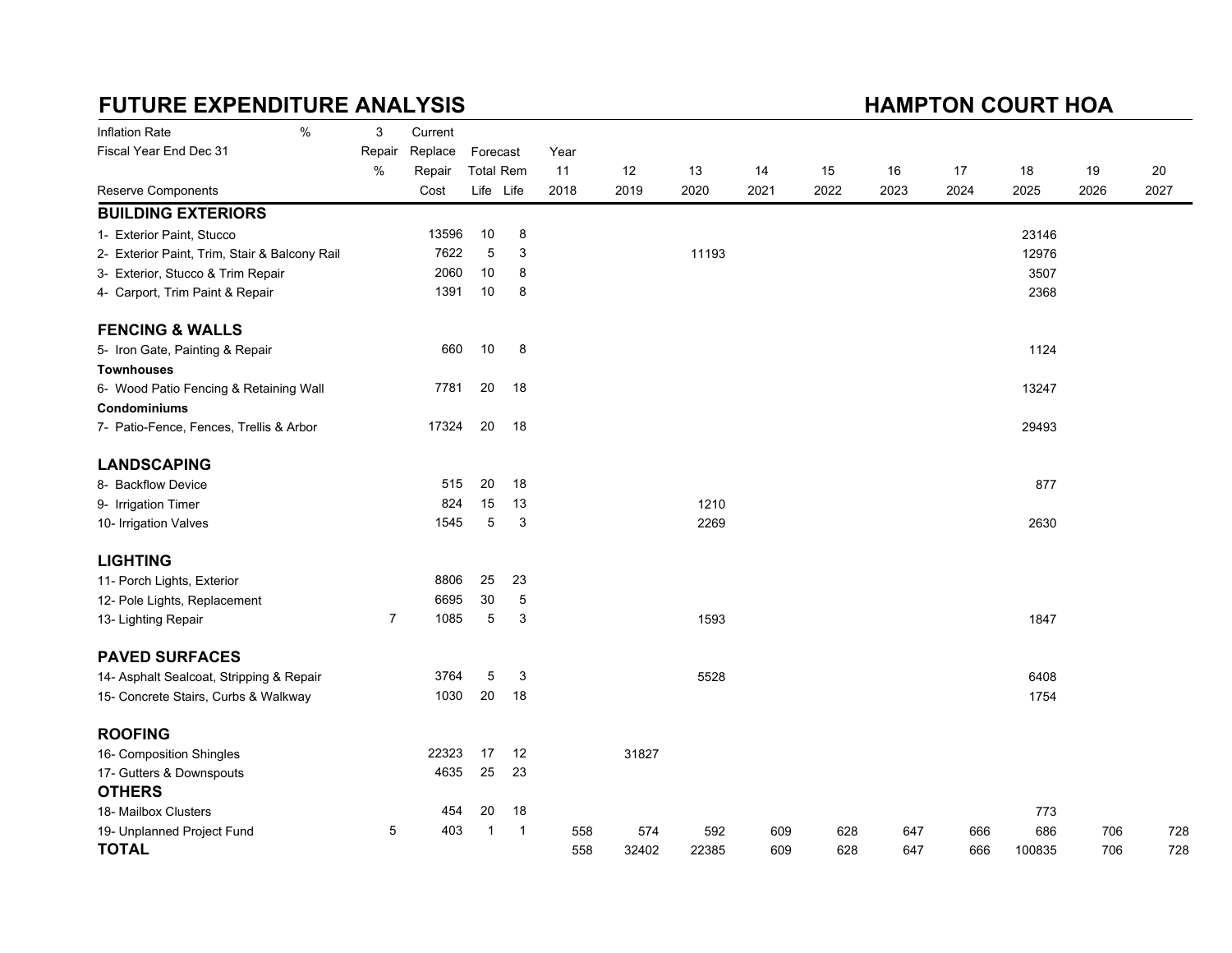# FUTURE EXPENDITURE ANALYSIS

### HAMPTON COURT HOA

| Inflation Rate                                | $\%$ | 3              | Current |                  |    |      |       |       |      |      |      |      |        |      |      |
|-----------------------------------------------|------|----------------|---------|------------------|----|------|-------|-------|------|------|------|------|--------|------|------|
| Fiscal Year End Dec 31                        |      | Repair         | Replace | Forecast         |    | Year |       |       |      |      |      |      |        |      |      |
|                                               |      | %              | Repair  | <b>Total Rem</b> |    | 11   | 12    | 13    | 14   | 15   | 16   | 17   | 18     | 19   | 20   |
| <b>Reserve Components</b>                     |      |                | Cost    | Life Life        |    | 2018 | 2019  | 2020  | 2021 | 2022 | 2023 | 2024 | 2025   | 2026 | 2027 |
| <b>BUILDING EXTERIORS</b>                     |      |                |         |                  |    |      |       |       |      |      |      |      |        |      |      |
| 1- Exterior Paint, Stucco                     |      |                | 13596   | 10               | 8  |      |       |       |      |      |      |      | 23146  |      |      |
| 2- Exterior Paint, Trim, Stair & Balcony Rail |      |                | 7622    | $\mathbf 5$      | 3  |      |       | 11193 |      |      |      |      | 12976  |      |      |
| 3- Exterior, Stucco & Trim Repair             |      |                | 2060    | 10               | 8  |      |       |       |      |      |      |      | 3507   |      |      |
| 4- Carport, Trim Paint & Repair               |      |                | 1391    | 10               | 8  |      |       |       |      |      |      |      | 2368   |      |      |
| <b>FENCING &amp; WALLS</b>                    |      |                |         |                  |    |      |       |       |      |      |      |      |        |      |      |
| 5- Iron Gate, Painting & Repair               |      |                | 660     | 10               | 8  |      |       |       |      |      |      |      | 1124   |      |      |
| <b>Townhouses</b>                             |      |                |         |                  |    |      |       |       |      |      |      |      |        |      |      |
| 6- Wood Patio Fencing & Retaining Wall        |      |                | 7781    | 20               | 18 |      |       |       |      |      |      |      | 13247  |      |      |
| Condominiums                                  |      |                |         |                  |    |      |       |       |      |      |      |      |        |      |      |
| 7- Patio-Fence, Fences, Trellis & Arbor       |      |                | 17324   | 20               | 18 |      |       |       |      |      |      |      | 29493  |      |      |
| <b>LANDSCAPING</b>                            |      |                |         |                  |    |      |       |       |      |      |      |      |        |      |      |
| 8- Backflow Device                            |      |                | 515     | 20               | 18 |      |       |       |      |      |      |      | 877    |      |      |
| 9- Irrigation Timer                           |      |                | 824     | 15               | 13 |      |       | 1210  |      |      |      |      |        |      |      |
| 10- Irrigation Valves                         |      |                | 1545    | 5                | 3  |      |       | 2269  |      |      |      |      | 2630   |      |      |
| <b>LIGHTING</b>                               |      |                |         |                  |    |      |       |       |      |      |      |      |        |      |      |
| 11- Porch Lights, Exterior                    |      |                | 8806    | 25               | 23 |      |       |       |      |      |      |      |        |      |      |
| 12- Pole Lights, Replacement                  |      |                | 6695    | 30               | 5  |      |       |       |      |      |      |      |        |      |      |
| 13- Lighting Repair                           |      | $\overline{7}$ | 1085    | 5                | 3  |      |       | 1593  |      |      |      |      | 1847   |      |      |
| <b>PAVED SURFACES</b>                         |      |                |         |                  |    |      |       |       |      |      |      |      |        |      |      |
| 14- Asphalt Sealcoat, Stripping & Repair      |      |                | 3764    | 5                | 3  |      |       | 5528  |      |      |      |      | 6408   |      |      |
| 15- Concrete Stairs, Curbs & Walkway          |      |                | 1030    | 20               | 18 |      |       |       |      |      |      |      | 1754   |      |      |
| <b>ROOFING</b>                                |      |                |         |                  |    |      |       |       |      |      |      |      |        |      |      |
| 16- Composition Shingles                      |      |                | 22323   | 17               | 12 |      | 31827 |       |      |      |      |      |        |      |      |
| 17- Gutters & Downspouts                      |      |                | 4635    | 25               | 23 |      |       |       |      |      |      |      |        |      |      |
| <b>OTHERS</b>                                 |      |                |         |                  |    |      |       |       |      |      |      |      |        |      |      |
| 18- Mailbox Clusters                          |      |                | 454     | 20               | 18 |      |       |       |      |      |      |      | 773    |      |      |
| 19- Unplanned Project Fund                    |      | 5              | 403     | $\mathbf 1$      | 1  | 558  | 574   | 592   | 609  | 628  | 647  | 666  | 686    | 706  | 728  |
| <b>TOTAL</b>                                  |      |                |         |                  |    | 558  | 32402 | 22385 | 609  | 628  | 647  | 666  | 100835 | 706  | 728  |